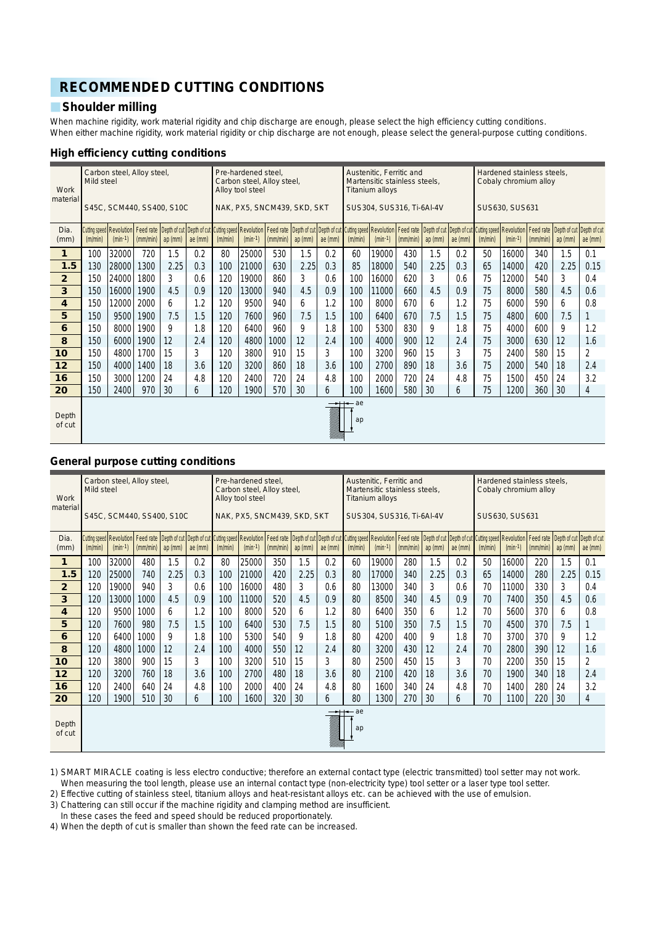# **RECOMMENDED CUTTING CONDITIONS**

# **Shoulder milling**

When machine rigidity, work material rigidity and chip discharge are enough, please select the high efficiency cutting conditions. When either machine rigidity, work material rigidity or chip discharge are not enough, please select the general-purpose cutting conditions.

### **High efficiency cutting conditions**

| Work<br>material        | Mild steel | Carbon steel, Alloy steel,              |          |           |         |         | Pre-hardened steel.<br>Carbon steel, Alloy steel,<br>Allov tool steel                                                                                                                                                           |          |         |         |          | Austenitic, Ferritic and<br>Martensitic stainless steels,<br><b>Titanium allovs</b> |          |           |         |         | Hardened stainless steels.<br>Cobaly chromium alloy |          |                                                   |                |
|-------------------------|------------|-----------------------------------------|----------|-----------|---------|---------|---------------------------------------------------------------------------------------------------------------------------------------------------------------------------------------------------------------------------------|----------|---------|---------|----------|-------------------------------------------------------------------------------------|----------|-----------|---------|---------|-----------------------------------------------------|----------|---------------------------------------------------|----------------|
|                         |            | S45C, SCM440, SS400, S10C               |          |           |         |         | NAK, PX5, SNCM439, SKD, SKT                                                                                                                                                                                                     |          |         |         |          | SUS304, SUS316, Ti-6AI-4V                                                           |          |           |         |         | SUS630, SUS631                                      |          |                                                   |                |
| Dia.<br>(mm)            | (m/min)    | Cutting speed   Revolution<br>$(min-1)$ | (mm/min) | ap $(mm)$ | ae (mm) | (m/min) | Feed rate   Depth of cut   Depth of cut   Cutting speed   Revolution   Feed rate   Depth of cut   Depth of cut   Cutting speed   Revolution   Feed rate   Depth of cut   Depth of cut   Cutting speed   Revolution<br>$(min-1)$ | (mm/min) | ap (mm) | ae (mm) | (m/min)  | $(min-1)$                                                                           | (mm/min) | $ap$ (mm) | ae (mm) | (m/min) | $(min-1)$                                           | (mm/min) | Feed rate   Depth of cut   Depth of cut<br>ap(mm) | ae $(mm)$      |
| $\mathbf{1}$            | 100        | 32000                                   | 720      | 1.5       | 0.2     | 80      | 25000                                                                                                                                                                                                                           | 530      | 1.5     | 0.2     | 60       | 19000                                                                               | 430      | 1.5       | 0.2     | 50      | 16000                                               | 340      | 1.5                                               | 0.1            |
| 1.5                     | 130        | 28000                                   | 1300     | 2.25      | 0.3     | 100     | 21000                                                                                                                                                                                                                           | 630      | 2.25    | 0.3     | 85       | 18000                                                                               | 540      | 2.25      | 0.3     | 65      | 14000                                               | 420      | 2.25                                              | 0.15           |
| $\overline{2}$          | 150        | 24000                                   | 1800     | 3         | 0.6     | 120     | 19000                                                                                                                                                                                                                           | 860      | 3       | 0.6     | 100      | 16000                                                                               | 620      | 3         | 0.6     | 75      | 12000                                               | 540      | 3                                                 | 0.4            |
| $\overline{\mathbf{3}}$ | 150        | 16000                                   | 1900     | 4.5       | 0.9     | 120     | 13000                                                                                                                                                                                                                           | 940      | 4.5     | 0.9     | 100      | 11000                                                                               | 660      | 4.5       | 0.9     | 75      | 8000                                                | 580      | 4.5                                               | 0.6            |
| 4                       | 150        | 12000                                   | 2000     | 6         | 1.2     | 120     | 9500                                                                                                                                                                                                                            | 940      | 6       | 1.2     | 100      | 8000                                                                                | 670      | 6         | 1.2     | 75      | 6000                                                | 590      | 6                                                 | 0.8            |
| 5                       | 150        | 9500                                    | 1900     | 7.5       | 1.5     | 120     | 7600                                                                                                                                                                                                                            | 960      | 7.5     | 1.5     | 100      | 6400                                                                                | 670      | 7.5       | 1.5     | 75      | 4800                                                | 600      | 7.5                                               | 1              |
| 6                       | 150        | 8000                                    | 1900     | 9         | 1.8     | 120     | 6400                                                                                                                                                                                                                            | 960      | 9       | 1.8     | 100      | 5300                                                                                | 830      | 9         | 1.8     | 75      | 4000                                                | 600      | 9                                                 | 1.2            |
| 8                       | 150        | 6000                                    | 1900     | 12        | 2.4     | 120     | 4800                                                                                                                                                                                                                            | 1000     | 12      | 2.4     | 100      | 4000                                                                                | 900      | 12        | 2.4     | 75      | 3000                                                | 630      | 12                                                | 1.6            |
| 10                      | 150        | 4800                                    | 1700     | 15        | 3       | 120     | 3800                                                                                                                                                                                                                            | 910      | 15      | 3       | 100      | 3200                                                                                | 960      | 15        | 3       | 75      | 2400                                                | 580      | 15                                                | $\overline{2}$ |
| 12                      | 150        | 4000                                    | 1400     | 18        | 3.6     | 120     | 3200                                                                                                                                                                                                                            | 860      | 18      | 3.6     | 100      | 2700                                                                                | 890      | 18        | 3.6     | 75      | 2000                                                | 540      | 18                                                | 2.4            |
| 16                      | 150        | 3000                                    | 1200     | 24        | 4.8     | 120     | 2400                                                                                                                                                                                                                            | 720      | 24      | 4.8     | 100      | 2000                                                                                | 720      | 24        | 4.8     | 75      | 1500                                                | 450      | 24                                                | 3.2            |
| 20                      | 150        | 2400                                    | 970      | 30        | 6       | 120     | 1900                                                                                                                                                                                                                            | 570      | 30      | 6       | 100      | 1600                                                                                | 580      | 30        | 6       | 75      | 1200                                                | 360      | 30                                                | 4              |
| Depth<br>of cut         |            |                                         |          |           |         |         |                                                                                                                                                                                                                                 |          |         |         | ae<br>ap |                                                                                     |          |           |         |         |                                                     |          |                                                   |                |

### **General purpose cutting conditions**

| Work<br>material        | Mild steel | Carbon steel, Alloy steel,              |          |         |           |         | Pre-hardened steel.<br>Carbon steel, Alloy steel,<br>Alloy tool steel |          |                             |           |            | Austenitic. Ferritic and<br>Martensitic stainless steels,<br><b>Titanium alloys</b> |          |         |         |         | Hardened stainless steels,<br>Cobaly chromium alloy                                                                                                                                                                               |          |                                                |                |
|-------------------------|------------|-----------------------------------------|----------|---------|-----------|---------|-----------------------------------------------------------------------|----------|-----------------------------|-----------|------------|-------------------------------------------------------------------------------------|----------|---------|---------|---------|-----------------------------------------------------------------------------------------------------------------------------------------------------------------------------------------------------------------------------------|----------|------------------------------------------------|----------------|
|                         |            | S45C, SCM440, SS400, S10C               |          |         |           |         |                                                                       |          | NAK, PX5, SNCM439, SKD, SKT |           |            | SUS304, SUS316, Ti-6AI-4V                                                           |          |         |         |         | SUS630, SUS631                                                                                                                                                                                                                    |          |                                                |                |
| Dia.<br>(mm)            | (m/min)    | Cutting speed   Revolution<br>$(min-1)$ | (mm/min) | ap (mm) | ae $(mm)$ | (m/min) | $(min-1)$                                                             | (mm/min) | ap(mm)                      | ae $(mm)$ | (m/min)    | $(min-1)$                                                                           | (mm/min) | ap (mm) | ae (mm) | (m/min) | Feed rate   Depth of cut   Depth of cut   Cutting speed   Revolution   Feed rate   Depth of cut   Depth of cut   Cutting speed   Revolution   Feed rate   Depth of cut   Depth of cut   Cutting speed   Revolution  <br>$(min-1)$ | (mm/min) | Feed rate Depth of cut Depth of cut<br>ap (mm) | ae (mm)        |
| $\mathbf{1}$            | 100        | 32000                                   | 480      | 1.5     | 0.2       | 80      | 25000                                                                 | 350      | 1.5                         | 0.2       | 60         | 19000                                                                               | 280      | 1.5     | 0.2     | 50      | 16000                                                                                                                                                                                                                             | 220      | 1.5                                            | 0.1            |
| 1.5                     | 120        | 25000                                   | 740      | 2.25    | 0.3       | 100     | 21000                                                                 | 420      | 2.25                        | 0.3       | 80         | 17000                                                                               | 340      | 2.25    | 0.3     | 65      | 14000                                                                                                                                                                                                                             | 280      | 2.25                                           | 0.15           |
| $\overline{2}$          | 120        | 19000                                   | 940      | 3       | 0.6       | 100     | 16000                                                                 | 480      | 3                           | 0.6       | 80         | 13000                                                                               | 340      | 3       | 0.6     | 70      | 11000                                                                                                                                                                                                                             | 330      | 3                                              | 0.4            |
| $\overline{\mathbf{3}}$ | 120        | 13000                                   | 1000     | 4.5     | 0.9       | 100     | 11000                                                                 | 520      | 4.5                         | 0.9       | 80         | 8500                                                                                | 340      | 4.5     | 0.9     | 70      | 7400                                                                                                                                                                                                                              | 350      | 4.5                                            | 0.6            |
| 4                       | 120        | 9500                                    | 1000     | 6       | 1.2       | 100     | 8000                                                                  | 520      | 6                           | 1.2       | 80         | 6400                                                                                | 350      | 6       | 1.2     | 70      | 5600                                                                                                                                                                                                                              | 370      | 6                                              | 0.8            |
| 5                       | 120        | 7600                                    | 980      | 7.5     | 1.5       | 100     | 6400                                                                  | 530      | 7.5                         | 1.5       | 80         | 5100                                                                                | 350      | 7.5     | 1.5     | 70      | 4500                                                                                                                                                                                                                              | 370      | 7.5                                            |                |
| 6                       | 120        | 6400                                    | 1000     | 9       | 1.8       | 100     | 5300                                                                  | 540      | 9                           | 1.8       | 80         | 4200                                                                                | 400      | 9       | 1.8     | 70      | 3700                                                                                                                                                                                                                              | 370      | 9                                              | 1.2            |
| 8                       | 120        | 4800                                    | 1000     | 12      | 2.4       | 100     | 4000                                                                  | 550      | 12                          | 2.4       | 80         | 3200                                                                                | 430      | 12      | 2.4     | 70      | 2800                                                                                                                                                                                                                              | 390      | 12                                             | 1.6            |
| 10                      | 120        | 3800                                    | 900      | 15      | 3         | 100     | 3200                                                                  | 510      | 15                          | 3         | 80         | 2500                                                                                | 450      | 15      | 3       | 70      | 2200                                                                                                                                                                                                                              | 350      | 15                                             | $\overline{c}$ |
| 12                      | 120        | 3200                                    | 760      | 18      | 3.6       | 100     | 2700                                                                  | 480      | 18                          | 3.6       | 80         | 2100                                                                                | 420      | 18      | 3.6     | 70      | 1900                                                                                                                                                                                                                              | 340      | 18                                             | 2.4            |
| 16                      | 120        | 2400                                    | 640      | 24      | 4.8       | 100     | 2000                                                                  | 400      | 24                          | 4.8       | 80         | 1600                                                                                | 340      | 24      | 4.8     | 70      | 1400                                                                                                                                                                                                                              | 280      | 24                                             | 3.2            |
| 20                      | 120        | 1900                                    | 510      | 30      | 6         | 100     | 1600                                                                  | 320      | 30                          | 6         | 80         | 1300                                                                                | 270      | 30      | 6       | 70      | 1100                                                                                                                                                                                                                              | 220      | 30                                             | 4              |
| Depth<br>of cut         |            |                                         |          |         |           |         |                                                                       |          |                             |           | – ae<br>ap |                                                                                     |          |         |         |         |                                                                                                                                                                                                                                   |          |                                                |                |

1) SMART MIRACLE coating is less electro conductive; therefore an external contact type (electric transmitted) tool setter may not work. When measuring the tool length, please use an internal contact type (non-electricity type) tool setter or a laser type tool setter.

2) Effective cutting of stainless steel, titanium alloys and heat-resistant alloys etc. can be achieved with the use of emulsion.

3) Chattering can still occur if the machine rigidity and clamping method are insufficient.

In these cases the feed and speed should be reduced proportionately.

4) When the depth of cut is smaller than shown the feed rate can be increased.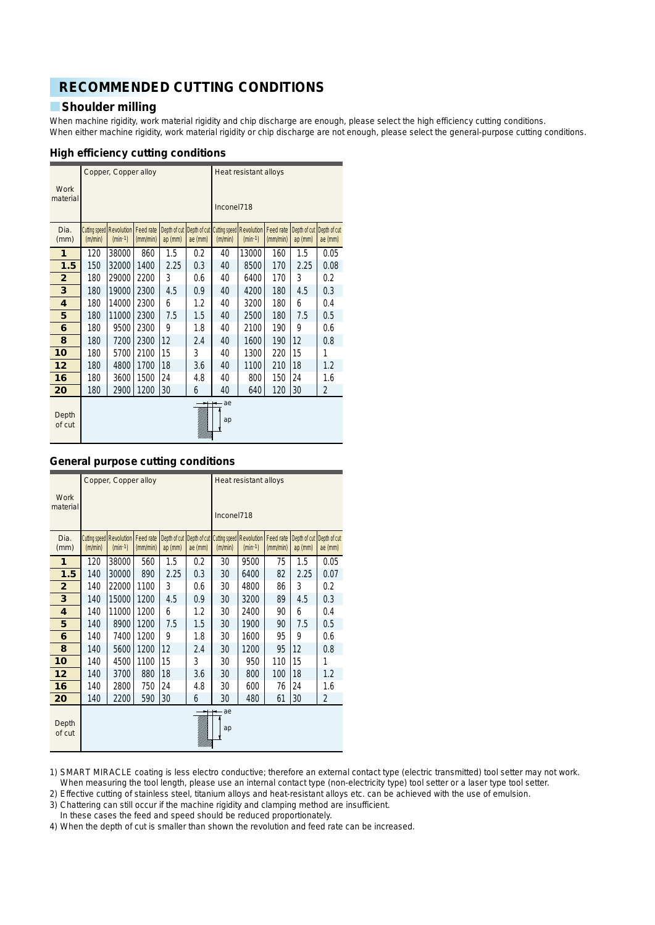# **RECOMMENDED CUTTING CONDITIONS**

## **Shoulder milling**

When machine rigidity, work material rigidity and chip discharge are enough, please select the high efficiency cutting conditions. When either machine rigidity, work material rigidity or chip discharge are not enough, please select the general-purpose cutting conditions.

### **High efficiency cutting conditions**

|                  |         | Copper, Copper alloy                      |                       |           |                                      |            | Heat resistant alloys                     |                       |                         |                         |
|------------------|---------|-------------------------------------------|-----------------------|-----------|--------------------------------------|------------|-------------------------------------------|-----------------------|-------------------------|-------------------------|
| Work<br>material |         |                                           |                       |           |                                      | Inconel718 |                                           |                       |                         |                         |
| Dia.<br>(mm)     | (m/min) | Cutting speed   Revolution  <br>$(min-1)$ | Feed rate<br>(mm/min) | $ap$ (mm) | Depth of cut Depth of cut<br>ae (mm) | (m/min)    | Cutting speed   Revolution  <br>$(min-1)$ | Feed rate<br>(mm/min) | Depth of cut<br>ap (mm) | Depth of cut<br>ae (mm) |
| 1                | 120     | 38000                                     | 860                   | 1.5       | 0.2                                  | 40         | 13000                                     | 160                   | 1.5                     | 0.05                    |
| 1.5              | 150     | 32000                                     | 1400                  | 2.25      | 0.3                                  | 40         | 8500                                      | 170                   | 2.25                    | 0.08                    |
| $\overline{2}$   | 180     | 29000                                     | 2200                  | 3         | 0.6                                  | 40         | 6400                                      | 170                   | 3                       | 0.2                     |
| 3                | 180     | 19000                                     | 2300                  | 4.5       | 0.9                                  | 40         | 4200                                      | 180                   | 4.5                     | 0.3                     |
| 4                | 180     | 14000                                     | 2300                  | 6         | 1.2                                  | 40         | 3200                                      | 180                   | 6                       | 0.4                     |
| 5                | 180     | 11000                                     | 2300                  | 7.5       | 1.5                                  | 40         | 2500                                      | 180                   | 7.5                     | 0.5                     |
| 6                | 180     | 9500                                      | 2300                  | 9         | 1.8                                  | 40         | 2100                                      | 190                   | 9                       | 0.6                     |
| 8                | 180     | 7200                                      | 2300                  | 12        | 2.4                                  | 40         | 1600                                      | 190                   | 12                      | 0.8                     |
| 10               | 180     | 5700                                      | 2100                  | 15        | 3                                    | 40         | 1300                                      | 220                   | 15                      | 1                       |
| 12               | 180     | 4800                                      | 1700                  | 18        | 3.6                                  | 40         | 1100                                      | 210                   | 18                      | 1.2                     |
| 16               | 180     | 3600                                      | 1500                  | 24        | 4.8                                  | 40         | 800                                       | 150                   | 24                      | 1.6                     |
| 20               | 180     | 2900                                      | 1200                  | 30        | 6                                    | 40         | 640                                       | 120                   | 30                      | $\overline{2}$          |
| Depth<br>of cut  |         |                                           |                       |           |                                      | ae<br>ap   |                                           |                       |                         |                         |

## **General purpose cutting conditions**

|                  |                      | Copper, Copper alloy |           |              |         |            | Heat resistant alloys                 |           |              |              |
|------------------|----------------------|----------------------|-----------|--------------|---------|------------|---------------------------------------|-----------|--------------|--------------|
| Work<br>material |                      |                      |           |              |         | Inconel718 |                                       |           |              |              |
| Dia.             | <b>Cutting speed</b> | <b>Revolution</b>    | Feed rate | Depth of cut |         |            | Depth of cut Cutting speed Revolution | Feed rate | Depth of cut | Depth of cut |
| (mm)             | (m/min)              | $(min-1)$            | (mm/min)  | $ap$ (mm)    | ae (mm) | (m/min)    | $(min-1)$                             | (mm/min)  | $ap$ (mm)    | ae (mm)      |
| 1                | 120                  | 38000                | 560       | 1.5          | 0.2     | 30         | 9500                                  | 75        | 1.5          | 0.05         |
| 1.5              | 140                  | 30000                | 890       | 2.25         | 0.3     | 30         | 6400                                  | 82        | 2.25         | 0.07         |
| $\overline{2}$   | 140                  | 22000                | 1100      | 3            | 0.6     | 30         | 4800                                  | 86        | 3            | 0.2          |
| 3                | 140                  | 15000                | 1200      | 4.5          | 0.9     | 30         | 3200                                  | 89        | 4.5          | 0.3          |
| 4                | 140                  | 11000                | 1200      | 6            | 1.2     | 30         | 2400                                  | 90        | 6            | 0.4          |
| 5                | 140                  | 8900                 | 1200      | 7.5          | 1.5     | 30         | 1900                                  | 90        | 7.5          | 0.5          |
| 6                | 140                  | 7400                 | 1200      | 9            | 1.8     | 30         | 1600                                  | 95        | 9            | 0.6          |
| 8                | 140                  | 5600                 | 1200      | 12           | 2.4     | 30         | 1200                                  | 95        | 12           | 0.8          |
| 10               | 140                  | 4500                 | 1100      | 15           | 3       | 30         | 950                                   | 110       | 15           | 1            |
| 12               | 140                  | 3700                 | 880       | 18           | 3.6     | 30         | 800                                   | 100       | 18           | 1.2          |
| 16               | 140                  | 2800                 | 750       | 24           | 4.8     | 30         | 600                                   | 76        | 24           | 1.6          |
| 20               | 140                  | 2200                 | 590       | 30           | 6       | 30         | 480                                   | 61        | 30           | 2            |
| Depth<br>of cut  |                      |                      |           |              |         | ae<br>ap   |                                       |           |              |              |

1) SMART MIRACLE coating is less electro conductive; therefore an external contact type (electric transmitted) tool setter may not work. When measuring the tool length, please use an internal contact type (non-electricity type) tool setter or a laser type tool setter.

2) Effective cutting of stainless steel, titanium alloys and heat-resistant alloys etc. can be achieved with the use of emulsion.

3) Chattering can still occur if the machine rigidity and clamping method are insufficient.

In these cases the feed and speed should be reduced proportionately.

4) When the depth of cut is smaller than shown the revolution and feed rate can be increased.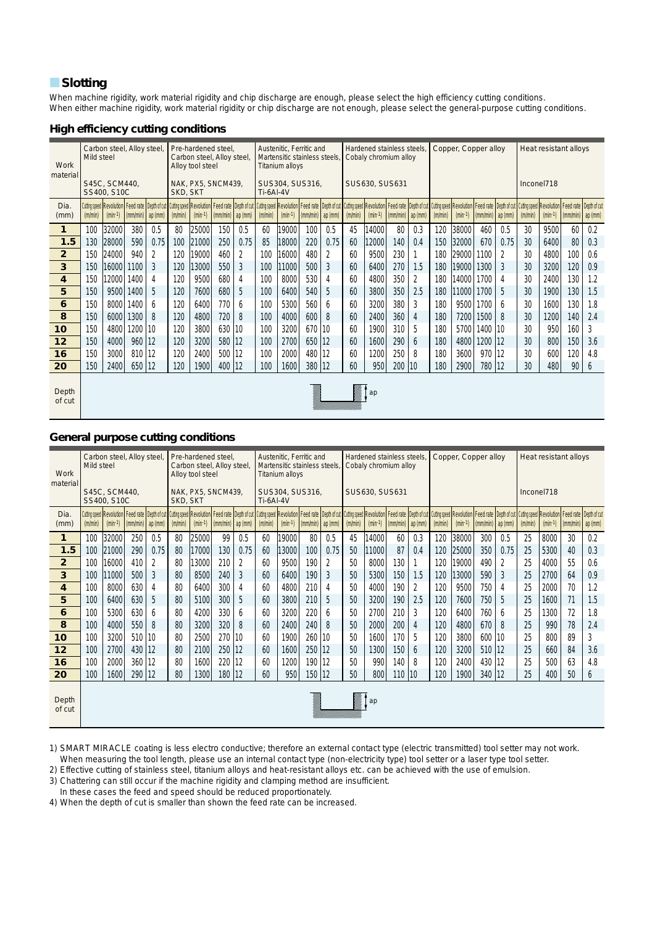## **N**Slotting

When machine rigidity, work material rigidity and chip discharge are enough, please select the high efficiency cutting conditions. When either machine rigidity, work material rigidity or chip discharge are not enough, please select the general-purpose cutting conditions.

#### **High efficiency cutting conditions**

| Work<br>material        | Mild steel | Carbon steel, Alloy steel,                                                                                                                                                                                                                  |          |        |                 | Pre-hardened steel.<br>Carbon steel, Alloy steel,<br>Alloy tool steel |          |             |           | Austenitic. Ferritic and<br>Martensitic stainless steels.<br><b>Titanium allovs</b> |                              |        |         | Hardened stainless steels.<br>Cobaly chromium alloy |          |        |         | Copper, Copper alloy |           |                                                                                             |            | Heat resistant alloys |                      |     |
|-------------------------|------------|---------------------------------------------------------------------------------------------------------------------------------------------------------------------------------------------------------------------------------------------|----------|--------|-----------------|-----------------------------------------------------------------------|----------|-------------|-----------|-------------------------------------------------------------------------------------|------------------------------|--------|---------|-----------------------------------------------------|----------|--------|---------|----------------------|-----------|---------------------------------------------------------------------------------------------|------------|-----------------------|----------------------|-----|
|                         |            | S45C, SCM440,<br>SS400, S10C                                                                                                                                                                                                                |          |        | <b>SKD. SKT</b> | NAK, PX5, SNCM439,                                                    |          |             | Ti-6AI-4V | SUS304, SUS316,                                                                     |                              |        |         | SUS630, SUS631                                      |          |        |         |                      |           |                                                                                             | Inconel718 |                       |                      |     |
| Dia.<br>(mm)            | (m/min)    | Cuting speed Revolution   Feed rate   Depth of cut   Cuting speed   Revolution   Feed rate   Depth of cut   Cuting speed   Revolution   Feed rate   Depth of cut   Cuting Speed   Revolution   Feed rate   Depth of cut   Cuti<br>$(min-1)$ | (mm/min) | ap(mm) | (m/min)         | $(min-1)$                                                             | (mm/min) | $ $ ap (mm) | (m/min)   | $(min-1)$                                                                           | $\lfloor$ (mm/min) $\rfloor$ | ap(mm) | (m/min) | $(min-1)$                                           | (mm/min) | ap(mm) | (m/min) | $(min-1)$            | (mm/min)  | Feed rate   Depth of cut   Cutting speed   Revolution   Feed rate   Depth of cut<br>ap (mm) | (m/min)    | $(min-1)$             | $(mm/min)$ ap $(mm)$ |     |
| 1                       | 100        | 32000                                                                                                                                                                                                                                       | 380      | 0.5    | 80              | 25000                                                                 | 150      | 0.5         | 60        | 19000                                                                               | 100                          | 0.5    | 45      | 14000                                               | 80       | 0.3    | 120     | 38000                | 460       | 0.5                                                                                         | 30         | 9500                  | 60                   | 0.2 |
| 1.5                     | 130        | 28000                                                                                                                                                                                                                                       | 590      | 0.75   | 100             | 21000                                                                 | 250      | 0.75        | 85        | 18000                                                                               | 220                          | 0.75   | 60      | 12000                                               | 140      | 0.4    | 150     | 32000                | 670       | 0.75                                                                                        | 30         | 6400                  | 80                   | 0.3 |
| $\overline{2}$          | 150        | 24000                                                                                                                                                                                                                                       | 940      | 2      | 120             | 19000                                                                 | 460      | 2           | 100       | 16000                                                                               | 480                          | 2      | 60      | 9500                                                | 230      |        | 180     | 29000                | 1100      | 2                                                                                           | 30         | 4800                  | 100                  | 0.6 |
| $\overline{\mathbf{3}}$ | 150        | 16000                                                                                                                                                                                                                                       | 1100     | 3      | 120             | 13000                                                                 | 550      | 3           | 100       | 11000                                                                               | 500                          | 3      | 60      | 6400                                                | 270      | 1.5    | 180     | 19000                | 1300      | 3                                                                                           | 30         | 3200                  | 120                  | 0.9 |
| 4                       | 150        | 12000                                                                                                                                                                                                                                       | 1400     | 4      | 120             | 9500                                                                  | 680      | 4           | 100       | 8000                                                                                | 530                          | 4      | 60      | 4800                                                | 350      | 2      | 180     | 14000                | 1700      | 4                                                                                           | 30         | 2400                  | 130                  | 1.2 |
| 5                       | 150        | 9500                                                                                                                                                                                                                                        | 1400     | 5      | 120             | 7600                                                                  | 680      | 5           | 100       | 6400                                                                                | 540                          | 5      | 60      | 3800                                                | 350      | 2.5    | 180     | 11000                | 1700      | 5                                                                                           | 30         | 1900                  | 130                  | 1.5 |
| 6                       | 150        | 8000                                                                                                                                                                                                                                        | 1400     | 6      | 120             | 6400                                                                  | 770      | 6           | 100       | 5300                                                                                | 560                          | 6      | 60      | 3200                                                | 380      | 3      | 180     | 9500                 | 1700      | 6                                                                                           | 30         | 1600                  | 130                  | 1.8 |
| 8                       | 150        | 6000                                                                                                                                                                                                                                        | 1300     | 8      | 120             | 4800                                                                  | 720      | 8           | 100       | 4000                                                                                | 600                          | 8      | 60      | 2400                                                | 360      | 4      | 180     | 7200                 | 1500      | 8                                                                                           | 30         | 1200                  | 140                  | 2.4 |
| 10                      | 150        | 4800                                                                                                                                                                                                                                        | 1200     | 10     | 120             | 3800                                                                  | 630      | 110         | 100       | 3200                                                                                | 670                          | 10     | 60      | 1900                                                | 310      | 5      | 180     | 5700                 | 1400   10 |                                                                                             | 30         | 950                   | 160                  | 3   |
| 12                      | 150        | 4000                                                                                                                                                                                                                                        | 960      | 12     | 120             | 3200                                                                  | 580      | 12          | 100       | 2700                                                                                | 650                          | 12     | 60      | 1600                                                | 290      | 6      | 180     | 4800                 | 1200   12 |                                                                                             | 30         | 800                   | 150                  | 3.6 |
| 16                      | 150        | 3000                                                                                                                                                                                                                                        | 810      | 12     | 120             | 2400                                                                  | 500      | 112         | 100       | 2000                                                                                | 480                          | 12     | 60      | 1200                                                | 250      | 8      | 180     | 3600                 | 970       | 12                                                                                          | 30         | 600                   | 120                  | 4.8 |
| 20                      | 150        | 2400                                                                                                                                                                                                                                        | 650      | 12     | 120             | 1900                                                                  | 400      | 12          | 100       | 1600                                                                                | 380                          | 12     | 60      | 950                                                 | 200      | 10     | 180     | 2900                 | 780   12  |                                                                                             | 30         | 480                   | 90                   | 6   |
| Depth<br>of cut         |            |                                                                                                                                                                                                                                             |          |        |                 |                                                                       |          |             |           |                                                                                     |                              |        |         | ap                                                  |          |        |         |                      |           |                                                                                             |            |                       |                      |     |

## **General purpose cutting conditions**

| Work<br>material | Mild steel | Carbon steel, Alloy steel,                   |          |                      |          | Pre-hardened steel,<br>Carbon steel, Alloy steel,<br>Alloy tool steel |                        |         |           | Austenitic. Ferritic and<br>Martensitic stainless steels.<br><b>Titanium alloys</b> |          |         |         | Hardened stainless steels.<br>Cobaly chromium alloy |          |         |         | Copper, Copper alloy |          |         |            |           | Heat resistant alloys                                                                                                                                                                                                                      |         |
|------------------|------------|----------------------------------------------|----------|----------------------|----------|-----------------------------------------------------------------------|------------------------|---------|-----------|-------------------------------------------------------------------------------------|----------|---------|---------|-----------------------------------------------------|----------|---------|---------|----------------------|----------|---------|------------|-----------|--------------------------------------------------------------------------------------------------------------------------------------------------------------------------------------------------------------------------------------------|---------|
|                  |            | S45C. SCM440.<br>SS400, S10C                 |          |                      | SKD, SKT | NAK, PX5, SNCM439,                                                    |                        |         | Ti-6AI-4V | SUS304, SUS316.                                                                     |          |         |         | SUS630, SUS631                                      |          |         |         |                      |          |         | Inconel718 |           |                                                                                                                                                                                                                                            |         |
| Dia.<br>(mm)     | (m/min)    | <b>Cutting speed Revolution</b><br>$(min-1)$ |          | $(mm/min)$ ap $(mm)$ | (m/min)  | $(min-1)$                                                             | $\frac{1}{2}$ (mm/min) | ap (mm) | (m/min)   | $(min-1)$                                                                           | (mm/min) | ap (mm) | (m/min) | $(min-1)$                                           | (mm/min) | ap (mm) | (m/min) | $(min-1)$            | (mm/min) | ap (mm) | (m/min)    | $(min-1)$ | Feed rate   Depth of out  Cutting speed   Revolution  Feed rate   Depth of cut  Cutting speed   Revolution  Feed rate   Depth of cut  Cutting speed Revolution  Feed rate   Depth of cut  Cutting speed   Revolution  Feed rat<br>(mm/min) | ap (mm) |
| 1                | 100        | 32000                                        | 250      | 0.5                  | 80       | 25000                                                                 | 99                     | 0.5     | 60        | 19000                                                                               | 80       | 0.5     | 45      | 14000                                               | 60       | 0.3     | 120     | 38000                | 300      | 0.5     | 25         | 8000      | 30                                                                                                                                                                                                                                         | 0.2     |
| 1.5              | 100        | 21000                                        | 290      | 0.75                 | 80       | 17000                                                                 | 130                    | 0.75    | 60        | 13000                                                                               | 100      | 0.75    | 50      | 11000                                               | 87       | 0.4     | 120     | 25000                | 350      | 0.75    | 25         | 5300      | 40                                                                                                                                                                                                                                         | 0.3     |
| $\overline{2}$   | 100        | 16000                                        | 410      | 2                    | 80       | 13000                                                                 | 210                    | 2       | 60        | 9500                                                                                | 190      | 2       | 50      | 8000                                                | 130      |         | 120     | 19000                | 490      | 2       | 25         | 4000      | 55                                                                                                                                                                                                                                         | 0.6     |
| 3                | 100        | 11000                                        | 500      | 3                    | 80       | 8500                                                                  | 240                    | 3       | 60        | 6400                                                                                | 190      | 3       | 50      | 5300                                                | 150      | 1.5     | 120     | 13000                | 590      | 3       | 25         | 2700      | 64                                                                                                                                                                                                                                         | 0.9     |
| 4                | 100        | 8000                                         | 630      | 4                    | 80       | 6400                                                                  | 300                    | 4       | 60        | 4800                                                                                | 210      | 4       | 50      | 4000                                                | 190      | 2       | 120     | 9500                 | 750      | 4       | 25         | 2000      | 70                                                                                                                                                                                                                                         | 1.2     |
| 5                | 100        | 6400                                         | 630      | 5                    | 80       | 5100                                                                  | 300                    | 5       | 60        | 3800                                                                                | 210      | 5       | 50      | 3200                                                | 190      | 2.5     | 120     | 7600                 | 750      | 5       | 25         | 1600      | 71                                                                                                                                                                                                                                         | 1.5     |
| 6                | 100        | 5300                                         | 630      | 6                    | 80       | 4200                                                                  | 330                    | 6       | 60        | 3200                                                                                | 220      | 6       | 50      | 2700                                                | 210      | 3       | 120     | 6400                 | 760      | 6       | 25         | 1300      | 72                                                                                                                                                                                                                                         | 1.8     |
| 8                | 100        | 4000                                         | 550      | 8                    | 80       | 3200                                                                  | 320                    | 8       | 60        | 2400                                                                                | 240      | 8       | 50      | 2000                                                | 200      | 4       | 120     | 4800                 | 670      | 8       | 25         | 990       | 78                                                                                                                                                                                                                                         | 2.4     |
| 10               | 100        | 3200                                         | 510 10   |                      | 80       | 2500                                                                  | 270                    | 10      | 60        | 1900                                                                                | 260      | 10      | 50      | 1600                                                | 170      | 5       | 120     | 3800                 | 600      | 10      | 25         | 800       | 89                                                                                                                                                                                                                                         | 3       |
| 12               | 100        | 2700                                         | 430   12 |                      | 80       | 2100                                                                  | 250   12               |         | 60        | 1600                                                                                | 250      | 12      | 50      | 1300                                                | 150      | 6       | 120     | 3200                 | 510   12 |         | 25         | 660       | 84                                                                                                                                                                                                                                         | 3.6     |
| 16               | 100        | 2000                                         | 360   12 |                      | 80       | 1600                                                                  | 220                    | 12      | 60        | 1200                                                                                | 190      | 12      | 50      | 990                                                 | 140      | 8       | 120     | 2400                 | 430   12 |         | 25         | 500       | 63                                                                                                                                                                                                                                         | 4.8     |
| 20               | 100        | 1600                                         | 290   12 |                      | 80       | 1300                                                                  | 180   12               |         | 60        | 950                                                                                 | 150      | 12      | 50      | 800                                                 | 110   10 |         | 120     | 1900                 | 340   12 |         | 25         | 400       | 50                                                                                                                                                                                                                                         | 6       |
| Depth<br>of cut  |            |                                              |          |                      |          |                                                                       |                        |         |           |                                                                                     |          |         |         | ap                                                  |          |         |         |                      |          |         |            |           |                                                                                                                                                                                                                                            |         |

1) SMART MIRACLE coating is less electro conductive; therefore an external contact type (electric transmitted) tool setter may not work. When measuring the tool length, please use an internal contact type (non-electricity type) tool setter or a laser type tool setter.

2) Effective cutting of stainless steel, titanium alloys and heat-resistant alloys etc. can be achieved with the use of emulsion.

3) Chattering can still occur if the machine rigidity and clamping method are insufficient.

In these cases the feed and speed should be reduced proportionately.

4) When the depth of cut is smaller than shown the feed rate can be increased.